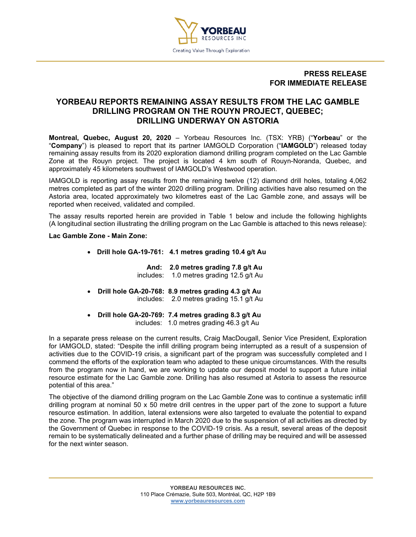

## **PRESS RELEASE FOR IMMEDIATE RELEASE**

# **YORBEAU REPORTS REMAINING ASSAY RESULTS FROM THE LAC GAMBLE DRILLING PROGRAM ON THE ROUYN PROJECT, QUEBEC; DRILLING UNDERWAY ON ASTORIA**

**Montreal, Quebec, August 20, 2020** – Yorbeau Resources Inc. (TSX: YRB) ("**Yorbeau**" or the "**Company**") is pleased to report that its partner IAMGOLD Corporation ("**IAMGOLD**") released today remaining assay results from its 2020 exploration diamond drilling program completed on the Lac Gamble Zone at the Rouyn project. The project is located 4 km south of Rouyn-Noranda, Quebec, and approximately 45 kilometers southwest of IAMGOLD's Westwood operation.

IAMGOLD is reporting assay results from the remaining twelve (12) diamond drill holes, totaling 4,062 metres completed as part of the winter 2020 drilling program. Drilling activities have also resumed on the Astoria area, located approximately two kilometres east of the Lac Gamble zone, and assays will be reported when received, validated and compiled.

The assay results reported herein are provided in Table 1 below and include the following highlights (A longitudinal section illustrating the drilling program on the Lac Gamble is attached to this news release):

#### **Lac Gamble Zone - Main Zone:**

• **Drill hole GA-19-761: 4.1 metres grading 10.4 g/t Au** 

**And: 2.0 metres grading 7.8 g/t Au** includes: 1.0 metres grading 12.5 g/t Au

- **Drill hole GA-20-768: 8.9 metres grading 4.3 g/t Au**  includes: 2.0 metres grading 15.1 g/t Au
- **Drill hole GA-20-769: 7.4 metres grading 8.3 g/t Au**  includes: 1.0 metres grading 46.3 g/t Au

In a separate press release on the current results, Craig MacDougall, Senior Vice President, Exploration for IAMGOLD, stated: "Despite the infill drilling program being interrupted as a result of a suspension of activities due to the COVID-19 crisis, a significant part of the program was successfully completed and I commend the efforts of the exploration team who adapted to these unique circumstances. With the results from the program now in hand, we are working to update our deposit model to support a future initial resource estimate for the Lac Gamble zone. Drilling has also resumed at Astoria to assess the resource potential of this area."

The objective of the diamond drilling program on the Lac Gamble Zone was to continue a systematic infill drilling program at nominal 50 x 50 metre drill centres in the upper part of the zone to support a future resource estimation. In addition, lateral extensions were also targeted to evaluate the potential to expand the zone. The program was interrupted in March 2020 due to the suspension of all activities as directed by the Government of Quebec in response to the COVID-19 crisis. As a result, several areas of the deposit remain to be systematically delineated and a further phase of drilling may be required and will be assessed for the next winter season.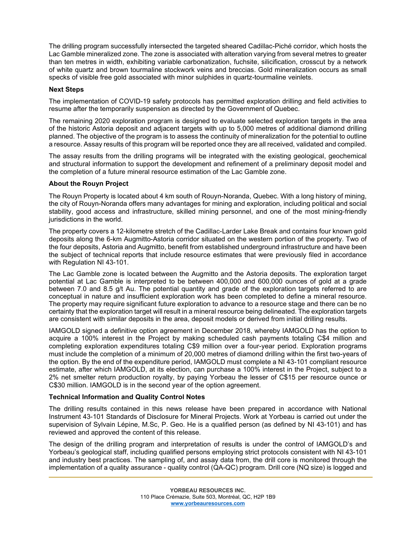The drilling program successfully intersected the targeted sheared Cadillac-Piché corridor, which hosts the Lac Gamble mineralized zone. The zone is associated with alteration varying from several metres to greater than ten metres in width, exhibiting variable carbonatization, fuchsite, silicification, crosscut by a network of white quartz and brown tourmaline stockwork veins and breccias. Gold mineralization occurs as small specks of visible free gold associated with minor sulphides in quartz-tourmaline veinlets.

### **Next Steps**

The implementation of COVID-19 safety protocols has permitted exploration drilling and field activities to resume after the temporarily suspension as directed by the Government of Quebec.

The remaining 2020 exploration program is designed to evaluate selected exploration targets in the area of the historic Astoria deposit and adjacent targets with up to 5,000 metres of additional diamond drilling planned. The objective of the program is to assess the continuity of mineralization for the potential to outline a resource. Assay results of this program will be reported once they are all received, validated and compiled.

The assay results from the drilling programs will be integrated with the existing geological, geochemical and structural information to support the development and refinement of a preliminary deposit model and the completion of a future mineral resource estimation of the Lac Gamble zone.

#### **About the Rouyn Project**

The Rouyn Property is located about 4 km south of Rouyn-Noranda, Quebec. With a long history of mining, the city of Rouyn-Noranda offers many advantages for mining and exploration, including political and social stability, good access and infrastructure, skilled mining personnel, and one of the most mining-friendly jurisdictions in the world.

The property covers a 12-kilometre stretch of the Cadillac-Larder Lake Break and contains four known gold deposits along the 6-km Augmitto-Astoria corridor situated on the western portion of the property. Two of the four deposits, Astoria and Augmitto, benefit from established underground infrastructure and have been the subject of technical reports that include resource estimates that were previously filed in accordance with Regulation NI 43-101.

The Lac Gamble zone is located between the Augmitto and the Astoria deposits. The exploration target potential at Lac Gamble is interpreted to be between 400,000 and 600,000 ounces of gold at a grade between 7.0 and 8.5 g/t Au. The potential quantity and grade of the exploration targets referred to are conceptual in nature and insufficient exploration work has been completed to define a mineral resource. The property may require significant future exploration to advance to a resource stage and there can be no certainty that the exploration target will result in a mineral resource being delineated. The exploration targets are consistent with similar deposits in the area, deposit models or derived from initial drilling results.

IAMGOLD signed a definitive option agreement in December 2018, whereby IAMGOLD has the option to acquire a 100% interest in the Project by making scheduled cash payments totaling C\$4 million and completing exploration expenditures totaling C\$9 million over a four-year period. Exploration programs must include the completion of a minimum of 20,000 metres of diamond drilling within the first two-years of the option. By the end of the expenditure period, IAMGOLD must complete a NI 43-101 compliant resource estimate, after which IAMGOLD, at its election, can purchase a 100% interest in the Project, subject to a 2% net smelter return production royalty, by paying Yorbeau the lesser of C\$15 per resource ounce or C\$30 million. IAMGOLD is in the second year of the option agreement.

## **Technical Information and Quality Control Notes**

The drilling results contained in this news release have been prepared in accordance with National Instrument 43-101 Standards of Disclosure for Mineral Projects. Work at Yorbeau is carried out under the supervision of Sylvain Lépine, M.Sc, P. Geo. He is a qualified person (as defined by NI 43-101) and has reviewed and approved the content of this release.

The design of the drilling program and interpretation of results is under the control of IAMGOLD's and Yorbeau's geological staff, including qualified persons employing strict protocols consistent with NI 43-101 and industry best practices. The sampling of, and assay data from, the drill core is monitored through the implementation of a quality assurance - quality control (QA-QC) program. Drill core (NQ size) is logged and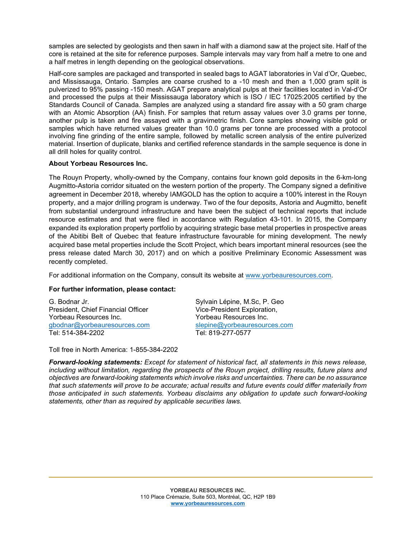samples are selected by geologists and then sawn in half with a diamond saw at the project site. Half of the core is retained at the site for reference purposes. Sample intervals may vary from half a metre to one and a half metres in length depending on the geological observations.

Half-core samples are packaged and transported in sealed bags to AGAT laboratories in Val d'Or, Quebec, and Mississauga, Ontario. Samples are coarse crushed to a -10 mesh and then a 1,000 gram split is pulverized to 95% passing -150 mesh. AGAT prepare analytical pulps at their facilities located in Val-d'Or and processed the pulps at their Mississauga laboratory which is ISO / IEC 17025:2005 certified by the Standards Council of Canada. Samples are analyzed using a standard fire assay with a 50 gram charge with an Atomic Absorption (AA) finish. For samples that return assay values over 3.0 grams per tonne, another pulp is taken and fire assayed with a gravimetric finish. Core samples showing visible gold or samples which have returned values greater than 10.0 grams per tonne are processed with a protocol involving fine grinding of the entire sample, followed by metallic screen analysis of the entire pulverized material. Insertion of duplicate, blanks and certified reference standards in the sample sequence is done in all drill holes for quality control.

#### **About Yorbeau Resources Inc.**

The Rouyn Property, wholly-owned by the Company, contains four known gold deposits in the 6-km-long Augmitto-Astoria corridor situated on the western portion of the property. The Company signed a definitive agreement in December 2018, whereby IAMGOLD has the option to acquire a 100% interest in the Rouyn property, and a major drilling program is underway. Two of the four deposits, Astoria and Augmitto, benefit from substantial underground infrastructure and have been the subject of technical reports that include resource estimates and that were filed in accordance with Regulation 43-101. In 2015, the Company expanded its exploration property portfolio by acquiring strategic base metal properties in prospective areas of the Abitibi Belt of Quebec that feature infrastructure favourable for mining development. The newly acquired base metal properties include the Scott Project, which bears important mineral resources (see the press release dated March 30, 2017) and on which a positive Preliminary Economic Assessment was recently completed.

For additional information on the Company, consult its website at www.yorbeauresources.com.

## **For further information, please contact:**

G. Bodnar Jr. (G. Bodnar Jr. Sylvain Lépine, M.Sc, P. George Sylvain Lépine, M.Sc, P. George Sylvain Lépine, M<br>President, Chief Financial Officer (Sylvain Lice-President Exploration, President, Chief Financial Officer The Vice-President Exploration<br>Yorbeau Resources Inc. Northeau Resources Inc. Yorbeau Resources Inc. [gbodnar@yorbeauresources.com](mailto:gbodnar@yorbeauresources.com) slepine@yorbeauresources.com<br>Tel: 514-384-2202 Tel: 819-277-0577

Tel: 819-277-0577

Toll free in North America: 1-855-384-2202

*Forward-looking statements: Except for statement of historical fact, all statements in this news release, including without limitation, regarding the prospects of the Rouyn project, drilling results, future plans and objectives are forward-looking statements which involve risks and uncertainties. There can be no assurance that such statements will prove to be accurate; actual results and future events could differ materially from those anticipated in such statements. Yorbeau disclaims any obligation to update such forward-looking statements, other than as required by applicable securities laws.*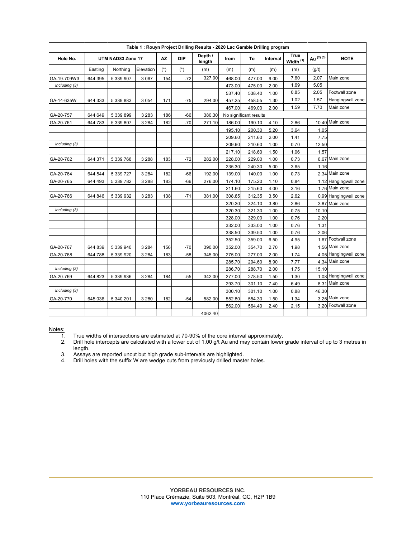| Table 1: Rouyn Project Drilling Results - 2020 Lac Gamble Drilling program |                   |           |           |           |            |                   |                        |        |          |                                     |                      |                       |
|----------------------------------------------------------------------------|-------------------|-----------|-----------|-----------|------------|-------------------|------------------------|--------|----------|-------------------------------------|----------------------|-----------------------|
| Hole No.                                                                   | UTM NAD83 Zone 17 |           |           | <b>AZ</b> | <b>DIP</b> | Depth /<br>length | from                   | To     | Interval | <b>True</b><br>Width <sup>(1)</sup> | Au <sup>(2)(3)</sup> | <b>NOTE</b>           |
|                                                                            | Easting           | Northing  | Elevation | (°)       | (°)        | (m)               | (m)                    | (m)    | (m)      | (m)                                 | (g/t)                |                       |
| GA-19-709W3                                                                | 644 395           | 5 339 907 | 3 0 6 7   | 154       | $-72$      | 327.00            | 468.00                 | 477.00 | 9.00     | 7.60                                | 2.07                 | Main zone             |
| Including (3)                                                              |                   |           |           |           |            |                   | 473.00                 | 475.00 | 2.00     | 1.69                                | 5.05                 |                       |
|                                                                            |                   |           |           |           |            |                   | 537.40                 | 538.40 | 1.00     | 0.85                                | 2.05                 | Footwall zone         |
| GA-14-635W                                                                 | 644 333           | 5 339 883 | 3 0 5 4   | 171       | $-75$      | 294.00            | 457.25                 | 458.55 | 1.30     | 1.02                                | 1.57                 | Hangingwall zone      |
|                                                                            |                   |           |           |           |            |                   | 467.00                 | 469.00 | 2.00     | 1.59                                | 7.70                 | Main zone             |
| GA-20-757                                                                  | 644 649           | 5 339 899 | 3 2 8 3   | 186       | $-66$      | 380.30            | No significant results |        |          |                                     |                      |                       |
| GA-20-761                                                                  | 644 783           | 5 339 807 | 3 2 8 4   | 182       | $-70$      | 271.10            | 186.00                 | 190.10 | 4.10     | 2.86                                |                      | 10.40 Main zone       |
|                                                                            |                   |           |           |           |            |                   | 195.10                 | 200.30 | 5.20     | 3.64                                | 1.05                 |                       |
|                                                                            |                   |           |           |           |            |                   | 209.60                 | 211.60 | 2.00     | 1.41                                | 7.75                 |                       |
| Including (3)                                                              |                   |           |           |           |            |                   | 209.60                 | 210.60 | 1.00     | 0.70                                | 12.50                |                       |
|                                                                            |                   |           |           |           |            |                   | 217.10                 | 218.60 | 1.50     | 1.06                                | 1.57                 |                       |
| GA-20-762                                                                  | 644 371           | 5 339 768 | 3 2 8 8   | 183       | $-72$      | 282.00            | 228.00                 | 229.00 | 1.00     | 0.73                                |                      | 6.67 Main zone        |
|                                                                            |                   |           |           |           |            |                   | 235.30                 | 240.30 | 5.00     | 3.65                                | 1.16                 |                       |
| GA-20-764                                                                  | 644 544           | 5 339 727 | 3 2 8 4   | 182       | $-66$      | 192.00            | 139.00                 | 140.00 | 1.00     | 0.73                                |                      | 2.34 Main zone        |
| GA-20-765                                                                  | 644 493           | 5 339 782 | 3 2 8 8   | 183       | $-66$      | 276.00            | 174.10                 | 175.20 | 1.10     | 0.84                                |                      | 1.12 Hangingwall zone |
|                                                                            |                   |           |           |           |            |                   | 211.60                 | 215.60 | 4.00     | 3.16                                |                      | 1.76 Main zone        |
| GA-20-766                                                                  | 644 846           | 5 339 932 | 3 2 8 3   | 138       | $-71$      | 381.00            | 308.85                 | 312.35 | 3.50     | 2.62                                |                      | 0.99 Hangingwall zone |
|                                                                            |                   |           |           |           |            |                   | 320.30                 | 324.10 | 3.80     | 2.86                                |                      | 3.87 Main zone        |
| Including (3)                                                              |                   |           |           |           |            |                   | 320.30                 | 321.30 | 1.00     | 0.75                                | 10.10                |                       |
|                                                                            |                   |           |           |           |            |                   | 328.00                 | 329.00 | 1.00     | 0.76                                | 2.20                 |                       |
|                                                                            |                   |           |           |           |            |                   | 332.00                 | 333.00 | 1.00     | 0.76                                | 1.31                 |                       |
|                                                                            |                   |           |           |           |            |                   | 338.50                 | 339.50 | 1.00     | 0.76                                | 2.06                 |                       |
|                                                                            |                   |           |           |           |            |                   | 352.50                 | 359.00 | 6.50     | 4.95                                |                      | 1.67 Footwall zone    |
| GA-20-767                                                                  | 644 839           | 5 339 940 | 3 2 8 4   | 156       | $-70$      | 390.00            | 352.00                 | 354.70 | 2.70     | 1.98                                |                      | 1.56 Main zone        |
| GA-20-768                                                                  | 644 788           | 5 339 920 | 3 2 8 4   | 183       | $-58$      | 345.00            | 275.00                 | 277.00 | 2.00     | 1.74                                |                      | 4.05 Hangingwall zone |
|                                                                            |                   |           |           |           |            |                   | 285.70                 | 294.60 | 8.90     | 7.77                                |                      | 4.34 Main zone        |
| Including (3)                                                              |                   |           |           |           |            |                   | 286.70                 | 288.70 | 2.00     | 1.75                                | 15.10                |                       |
| GA-20-769                                                                  | 644 823           | 5 339 936 | 3 2 8 4   | 184       | $-55$      | 342.00            | 277.00                 | 278.50 | 1.50     | 1.30                                |                      | 1.08 Hangingwall zone |
|                                                                            |                   |           |           |           |            |                   | 293.70                 | 301.10 | 7.40     | 6.49                                |                      | 8.31 Main zone        |
| Including (3)                                                              |                   |           |           |           |            |                   | 300.10                 | 301.10 | 1.00     | 0.88                                | 46.30                |                       |
| GA-20-770                                                                  | 645 036           | 5 340 201 | 3 2 8 0   | 182       | $-54$      | 582.00            | 552.80                 | 554.30 | 1.50     | 1.34                                |                      | 3.25 Main zone        |
|                                                                            |                   |           |           |           |            |                   | 562.00                 | 564.40 | 2.40     | 2.15                                |                      | 3.20 Footwall zone    |
|                                                                            |                   |           |           |           |            | 4062.40           |                        |        |          |                                     |                      |                       |

 $\frac{\text{Notes:}}{1}$ 

1. True widths of intersections are estimated at 70-90% of the core interval approximately.

2. Drill hole intercepts are calculated with a lower cut of 1.00 g/t Au and may contain lower grade interval of up to 3 metres in length.

3. Assays are reported uncut but high grade sub-intervals are highlighted.

4. Drill holes with the suffix W are wedge cuts from previously drilled master holes.